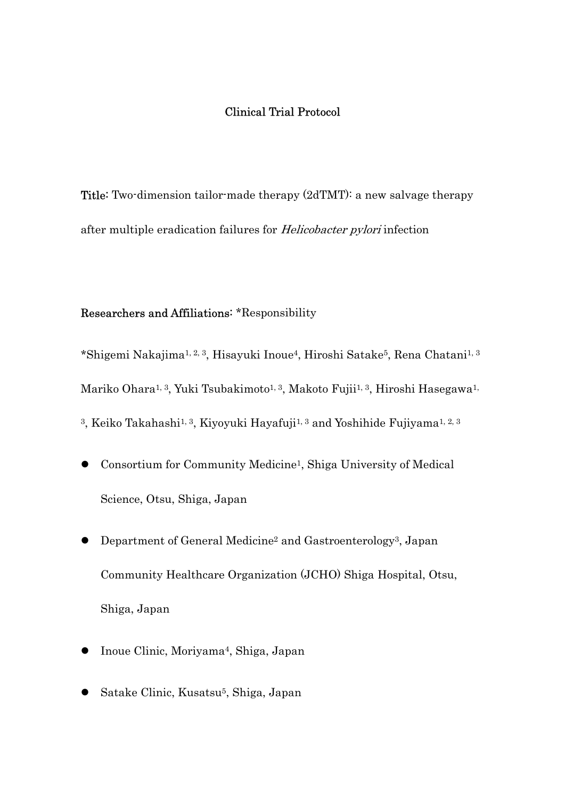## Clinical Trial Protocol

Title: Two-dimension tailor-made therapy (2dTMT): a new salvage therapy after multiple eradication failures for Helicobacter pylori infection

## Researchers and Affiliations: \*Responsibility

\*Shigemi Nakajima1, 2, 3, Hisayuki Inoue4, Hiroshi Satake5, Rena Chatani1, 3 Mariko Ohara<sup>1, 3</sup>, Yuki Tsubakimoto<sup>1, 3</sup>, Makoto Fujii<sup>1, 3</sup>, Hiroshi Hasegawa<sup>1,</sup> <sup>3</sup>, Keiko Takahashi<sup>1, 3</sup>, Kiyoyuki Hayafuji<sup>1, 3</sup> and Yoshihide Fujiyama<sup>1, 2, 3</sup>

- Consortium for Community Medicine1, Shiga University of Medical Science, Otsu, Shiga, Japan
- Department of General Medicine2 and Gastroenterology3, Japan Community Healthcare Organization (JCHO) Shiga Hospital, Otsu, Shiga, Japan
- Inoue Clinic, Moriyama<sup>4</sup>, Shiga, Japan
- Satake Clinic, Kusatsu<sup>5</sup>, Shiga, Japan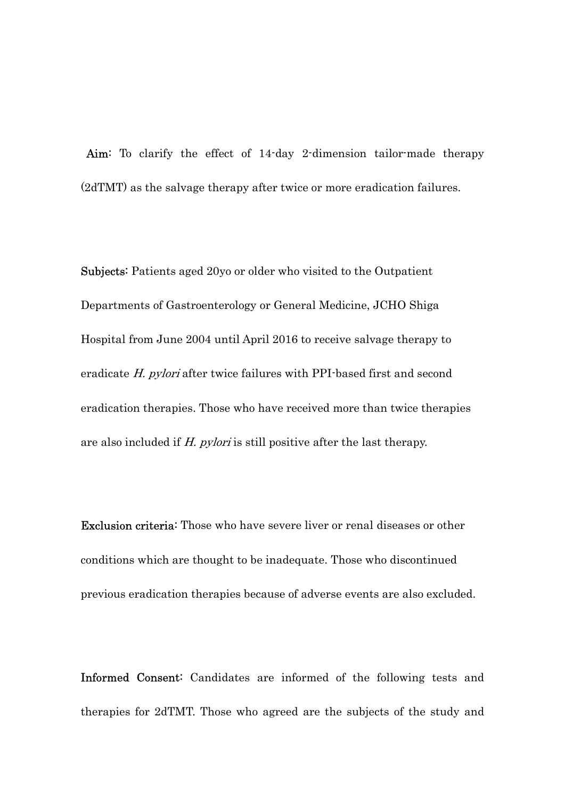Aim: To clarify the effect of 14-day 2-dimension tailor-made therapy (2dTMT) as the salvage therapy after twice or more eradication failures.

Subjects: Patients aged 20yo or older who visited to the Outpatient Departments of Gastroenterology or General Medicine, JCHO Shiga Hospital from June 2004 until April 2016 to receive salvage therapy to eradicate H. pylori after twice failures with PPI-based first and second eradication therapies. Those who have received more than twice therapies are also included if H. pylori is still positive after the last therapy.

Exclusion criteria: Those who have severe liver or renal diseases or other conditions which are thought to be inadequate. Those who discontinued previous eradication therapies because of adverse events are also excluded.

Informed Consent: Candidates are informed of the following tests and therapies for 2dTMT. Those who agreed are the subjects of the study and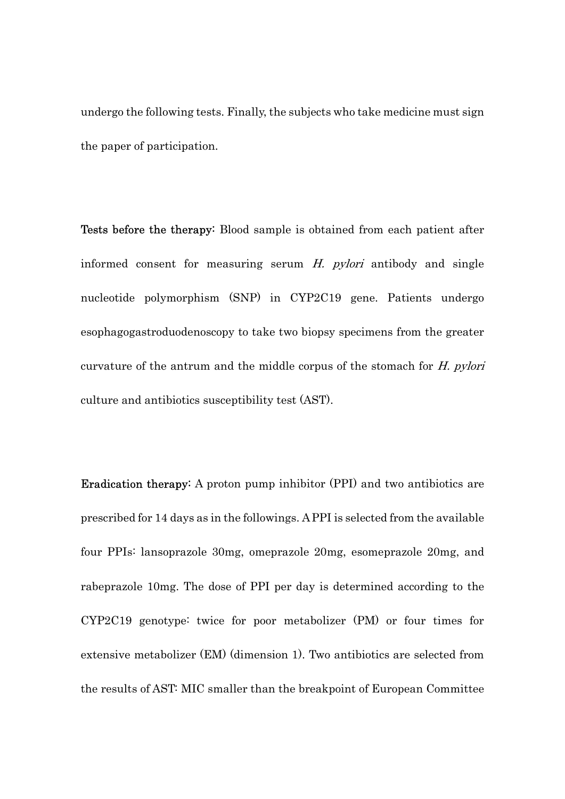undergo the following tests. Finally, the subjects who take medicine must sign the paper of participation.

Tests before the therapy: Blood sample is obtained from each patient after informed consent for measuring serum H. pylori antibody and single nucleotide polymorphism (SNP) in CYP2C19 gene. Patients undergo esophagogastroduodenoscopy to take two biopsy specimens from the greater curvature of the antrum and the middle corpus of the stomach for H. pylori culture and antibiotics susceptibility test (AST).

Eradication therapy: A proton pump inhibitor (PPI) and two antibiotics are prescribed for 14 days as in the followings. A PPI is selected from the available four PPIs: lansoprazole 30mg, omeprazole 20mg, esomeprazole 20mg, and rabeprazole 10mg. The dose of PPI per day is determined according to the CYP2C19 genotype: twice for poor metabolizer (PM) or four times for extensive metabolizer (EM) (dimension 1). Two antibiotics are selected from the results of AST: MIC smaller than the breakpoint of European Committee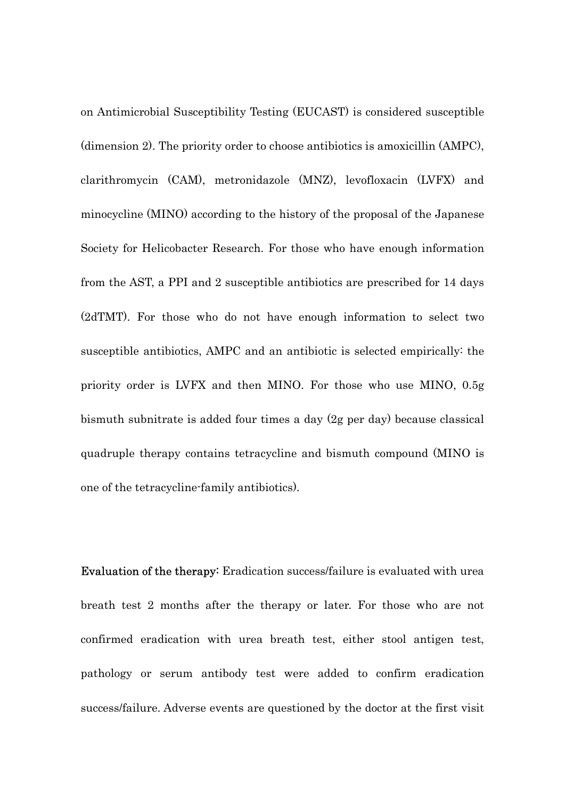on Antimicrobial Susceptibility Testing (EUCAST) is considered susceptible (dimension 2). The priority order to choose antibiotics is amoxicillin (AMPC), clarithromycin (CAM), metronidazole (MNZ), levofloxacin (LVFX) and minocycline (MINO) according to the history of the proposal of the Japanese Society for Helicobacter Research. For those who have enough information from the AST, a PPI and 2 susceptible antibiotics are prescribed for 14 days (2dTMT). For those who do not have enough information to select two susceptible antibiotics, AMPC and an antibiotic is selected empirically: the priority order is LVFX and then MINO. For those who use MINO, 0.5g bismuth subnitrate is added four times a day (2g per day) because classical quadruple therapy contains tetracycline and bismuth compound (MINO is one of the tetracycline-family antibiotics).

Evaluation of the therapy: Eradication success/failure is evaluated with urea breath test 2 months after the therapy or later. For those who are not confirmed eradication with urea breath test, either stool antigen test, pathology or serum antibody test were added to confirm eradication success/failure. Adverse events are questioned by the doctor at the first visit